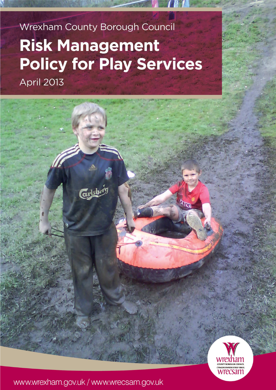# Wrexham County Borough Council **Risk Management Policy for Play Services April 2013**

wrecsan

# www.wrexham.gov.uk / www.wrecsam.gov.uk

Gysbó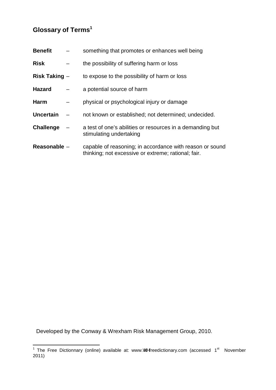# **Glossary of Terms<sup>1</sup>**

| <b>Benefit</b>   | something that promotes or enhances well being                                                                  |
|------------------|-----------------------------------------------------------------------------------------------------------------|
| <b>Risk</b>      | the possibility of suffering harm or loss                                                                       |
| Risk Taking -    | to expose to the possibility of harm or loss                                                                    |
| <b>Hazard</b>    | a potential source of harm                                                                                      |
| <b>Harm</b>      | physical or psychological injury or damage                                                                      |
| <b>Uncertain</b> | not known or established; not determined; undecided.                                                            |
| <b>Challenge</b> | a test of one's abilities or resources in a demanding but<br>stimulating undertaking                            |
| Reasonable -     | capable of reasoning; in accordance with reason or sound<br>thinking; not excessive or extreme; rational; fair. |

Developed by the Conway & Wrexham Risk Management Group, 2010.

 $\overline{a}$ <sup>1</sup> The Free Dictionnary (online) available at: [www.](www.google.co.uk)c@freedictionary.com (accessed 1<sup>st</sup> November 2011)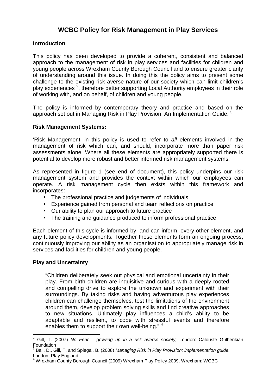# **WCBC Policy for Risk Management in Play Services**

# **Introduction**

 This policy has been developed to provide a coherent, consistent and balanced approach to the management of risk in play services and facilities for children and young people across Wrexham County Borough Council and to ensure greater clarity of understanding around this issue. In doing this the policy aims to present some challenge to the existing risk averse nature of our society which can limit children's play experiences<sup>2</sup>, therefore better supporting Local Authority employees in their role of working with, and on behalf, of children and young people.

 The policy is informed by contemporary theory and practice and based on the approach set out in Managing Risk in Play Provision: An Implementation Guide.  $3$ 

## **Risk Management Systems:**

 'Risk Management' in this policy is used to refer to all elements involved in the management of risk which can, and should, incorporate more than paper risk assessments alone. Where all these elements are appropriately supported there is potential to develop more robust and better informed risk management systems.

 As represented in figure 1 (see end of document), this policy underpins our risk management system and provides the context within which our employees can operate. A risk management cycle then exists within this framework and incorporates:

- The professional practice and judgements of individuals
- Experience gained from personal and team reflections on practice
- Our ability to plan our approach to future practice
- The training and guidance produced to inform professional practice

 Each element of this cycle is informed by, and can inform, every other element, and any future policy developments. Together these elements form an ongoing process, continuously improving our ability as an organisation to appropriately manage risk in services and facilities for children and young people.

## **Play and Uncertainty**

 "Children deliberately seek out physical and emotional uncertainty in their play. From birth children are inquisitive and curious with a deeply rooted and compelling drive to explore the unknown and experiment with their surroundings. By taking risks and having adventurous play experiences children can challenge themselves, test the limitations of the environment around them, develop problem solving skills and find creative approaches to new situations. Ultimately play influences a child's ability to be adaptable and resilient, to cope with stressful events and therefore enables them to support their own well-being." <sup>4</sup>

 $\overline{a}$ <sup>2</sup> Gill, T. (2007) No Fear – growing up in a risk averse society, London: Calouste Gulbenkian Foundation

 $^3$  Ball, D., Gill, T. and Spiegal, B. (2008) Managing Risk in Play Provision: implementation guide. London: Play England

<sup>4</sup> Wrexham County Borough Council (2009) Wrexham Play Policy 2009, Wrexham: WCBC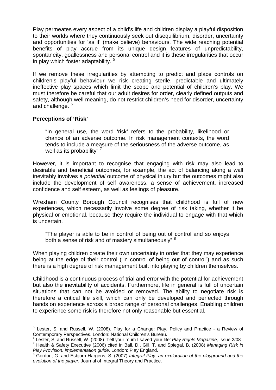Play permeates every aspect of a child's life and children display a playful disposition to their worlds where they continuously seek out disequilibrium, disorder, uncertainty and opportunities for 'as if' (make believe) behaviours. The wide reaching potential benefits of play accrue from its unique design features of unpredictability, spontaneity, goallessness and personal control and it is these irregularities that occur in play which foster adaptability.<sup>5</sup>

 If we remove these irregularities by attempting to predict and place controls on children's playful behaviour we risk creating sterile, predictable and ultimately ineffective play spaces which limit the scope and potential of children's play. We must therefore be careful that our adult desires for order, clearly defined outputs and safety, although well meaning, do not restrict children's need for disorder, uncertainty and challenge. <sup>6</sup>

## **Perceptions of 'Risk'**

 "In general use, the word 'risk' refers to the probability, likelihood or chance of an adverse outcome. In risk management contexts, the word tends to include a measure of the seriousness of the adverse outcome, as well as its probability" <sup>7</sup>

 However, it is important to recognise that engaging with risk may also lead to desirable and beneficial outcomes, for example, the act of balancing along a wall inevitably involves a *potential* outcome of physical injury but the outcomes might also include the development of self awareness, a sense of achievement, increased confidence and self esteem, as well as feelings of pleasure.

 Wrexham County Borough Council recognises that childhood is full of new experiences, which necessarily involve some degree of risk taking, whether it be physical or emotional, because they require the individual to engage with that which is uncertain.

 "The player is able to be in control of being out of control and so enjoys both a sense of risk and of mastery simultaneously" 8

 When playing children create their own uncertainty in order that they may experience being at the edge of their control ("in control of being out of control") and as such there is a high degree of risk management built into playing by children themselves.

 Childhood is a continuous process of trial and error with the potential for achievement but also the inevitability of accidents. Furthermore, life in general is full of uncertain situations that can not be avoided or removed. The ability to negotiate risk is therefore a critical life skill, which can only be developed and perfected through hands on experience across a broad range of personal challenges. Enabling children to experience some risk is therefore not only reasonable but essential.

 $\overline{a}$  $<sup>5</sup>$  Lester, S. and Russell, W. (2008). Play for a Change: Play, Policy and Practice - a Review of</sup> Contemporary Perspectives. London: National Children's Bureau.

 $6$  Lester, S. and Russell, W. (2008) 'Tell your mum I saved your life' Play Rights Magazine, Issue 2/08  $^6$  Lester, S. and Russell, W. (2008) 'Tell your mum I saved your life' *Play Rights Magazine,* Issue 2/08<br><sup>7</sup> Health & Safety Executive (2006) cited in Ball, D., Gill, T. and Spiegal, B. (2008) *Managing Risk in* 

Play Provision: implementation guide. London: Play England. *Play Provision: implementation guide.* London: Play England.<br><sup>8</sup> Gordon, G. and Esbjorn-Hargens, S. (2007) *Integral Play: an exploration of the playground and the* 

 evolution of the player. Journal of Integral Theory and Practice.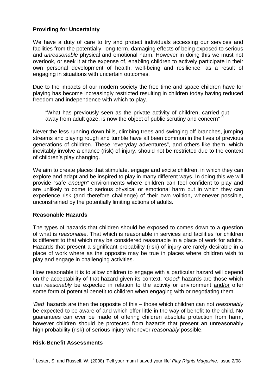# **Providing for Uncertainty**

 We have a duty of care to try and protect individuals accessing our services and facilities from the potentially, long-term, damaging effects of being exposed to serious and *unreasonable* physical and emotional harm. However in doing this we must not overlook, or seek it at the expense of, enabling children to actively participate in their own personal development of health, well-being and resilience, as a result of engaging in situations with uncertain outcomes.

 Due to the impacts of our modern society the free time and space children have for playing has become increasingly restricted resulting in children today having reduced freedom and independence with which to play.

 "What has previously seen as the private activity of children, carried out away from adult gaze, is now the object of public scrutiny and concern" <sup>9</sup>

 Never the less running down hills, climbing trees and swinging off branches, jumping streams and playing rough and tumble have all been common in the lives of previous generations of children. These "everyday adventures", and others like them, which inevitably involve a chance (risk) of injury, should not be restricted due to the context of children's play changing.

 We aim to create places that stimulate, engage and excite children, in which they can explore and adapt and be inspired to play in many different ways. In doing this we will provide "safe enough" environments where children can feel confident to play and are unlikely to come to serious physical or emotional harm but in which they can experience risk (and therefore challenge) of their own volition, whenever possible, unconstrained by the potentially limiting actions of adults.

## **Reasonable Hazards**

 The types of hazards that children should be exposed to comes down to a question of what is reasonable. That which is reasonable in services and facilities for children is different to that which may be considered reasonable in a place of work for adults. Hazards that present a significant probability (risk) of injury are rarely desirable in a place of work where as the opposite may be true in places where children wish to play and engage in challenging activities.

 How reasonable it is to allow children to engage with a particular hazard will depend on the acceptability of that hazard given its context. 'Good' hazards are those which can reasonably be expected in relation to the activity or environment and/or offer some form of potential benefit to children when engaging with or negotiating them.

 'Bad' hazards are then the opposite of this – those which children can not reasonably be expected to be aware of and which offer little in the way of benefit to the child. No guarantees can ever be made of offering children absolute protection from harm, however children should be protected from hazards that present an unreasonably high probability (risk) of serious injury whenever reasonably possible.

## **Risk-Benefit Assessments**

 $\overline{a}$ <sup>9</sup> Lester, S. and Russell, W. (2008) 'Tell your mum I saved your life' Play Rights Magazine, Issue 2/08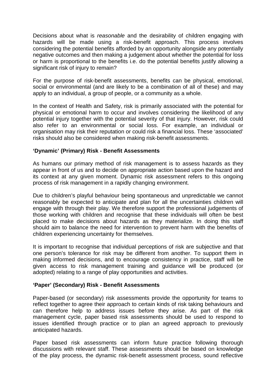Decisions about what is reasonable and the desirability of children engaging with hazards will be made using a risk-benefit approach. This process involves considering the potential benefits afforded by an opportunity alongside any potentially negative outcomes and then making a judgement about whether the potential for loss or harm is proportional to the benefits i.e. do the potential benefits justify allowing a significant risk of injury to remain?

 For the purpose of risk-benefit assessments, benefits can be physical, emotional, social or environmental (and are likely to be a combination of all of these) and may apply to an individual, a group of people, or a community as a whole.

 In the context of Health and Safety, risk is primarily associated with the potential for physical or emotional harm to occur and involves considering the likelihood of any potential injury together with the potential severity of that injury. However, risk could also refer to an environmental or social loss. For example, an individual or organisation may risk their reputation or could risk a financial loss. These 'associated' risks should also be considered when making risk-benefit assessments.

# **'Dynamic' (Primary) Risk - Benefit Assessments**

 As humans our primary method of risk management is to assess hazards as they appear in front of us and to decide on appropriate action based upon the hazard and its context at any given moment. Dynamic risk assessment refers to this ongoing process of risk management in a rapidly changing environment.

 Due to children's playful behaviour being spontaneous and unpredictable we cannot reasonably be expected to anticipate and plan for all the uncertainties children will engage with through their play. We therefore support the professional judgements of those working with children and recognise that these individuals will often be best placed to make decisions about hazards as they materialize. In doing this staff should aim to balance the need for intervention to prevent harm with the benefits of children experiencing uncertainty for themselves.

 It is important to recognise that individual perceptions of risk are subjective and that one person's tolerance for risk may be different from another. To support them in making informed decisions, and to encourage consistency in practice, staff will be given access to risk management training and guidance will be produced (or adopted) relating to a range of play opportunities and activities.

## **'Paper' (Secondary) Risk - Benefit Assessments**

 Paper-based (or secondary) risk assessments provide the opportunity for teams to reflect together to agree their approach to certain kinds of risk taking behaviours and can therefore help to address issues before they arise. As part of the risk management cycle, paper based risk assessments should be used to respond to issues identified through practice or to plan an agreed approach to previously anticipated hazards.

 Paper based risk assessments can inform future practice following thorough discussions with relevant staff. These assessments should be based on knowledge of the play process, the dynamic risk-benefit assessment process, sound reflective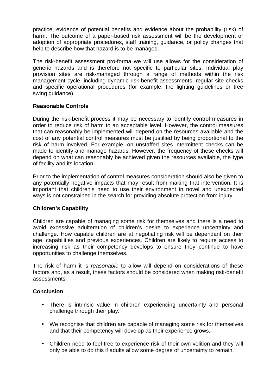practice, evidence of potential benefits and evidence about the probability (risk) of harm. The outcome of a paper-based risk assessment will be the development or adoption of appropriate procedures, staff training, guidance, or policy changes that help to describe how that hazard is to be managed.

 The risk-benefit assessment pro-forma we will use allows for the consideration of generic hazards and is therefore not specific to particular sites. Individual play provision sites are risk-managed through a range of methods within the risk management cycle, including dynamic risk-benefit assessments, regular site checks and specific operational procedures (for example, fire lighting guidelines or tree swing guidance).

# **Reasonable Controls**

 During the risk-benefit process it may be necessary to identify control measures in order to reduce risk of harm to an acceptable level. However, the control measures that can reasonably be implemented will depend on the resources available and the cost of any potential control measures must be justified by being proportional to the risk of harm involved. For example, on unstaffed sites intermittent checks can be made to identify and manage hazards. However, the frequency of these checks will depend on what can reasonably be achieved given the resources available, the type of facility and its location.

 Prior to the implementation of control measures consideration should also be given to any potentially negative impacts that may result from making that intervention. It is important that children's need to use their environment in novel and unexpected ways is not constrained in the search for providing absolute protection from injury.

# **Children's Capability**

 Children are capable of managing some risk for themselves and there is a need to avoid excessive adulteration of children's desire to experience uncertainty and challenge. How capable children are at negotiating risk will be dependant on their age, capabilities and previous experiences. Children are likely to require access to increasing risk as their competency develops to ensure they continue to have opportunities to challenge themselves.

The risk of harm it is reasonable to allow will depend on considerations of these factors and, as a result, these factors should be considered when making risk-benefit assessments.

## **Conclusion**

- There is intrinsic value in children experiencing uncertainty and personal challenge through their play.
- We recognise that children are capable of managing some risk for themselves and that their competency will develop as their experience grows.
- Children need to feel free to experience risk of their own volition and they will only be able to do this if adults allow some degree of uncertainty to remain.